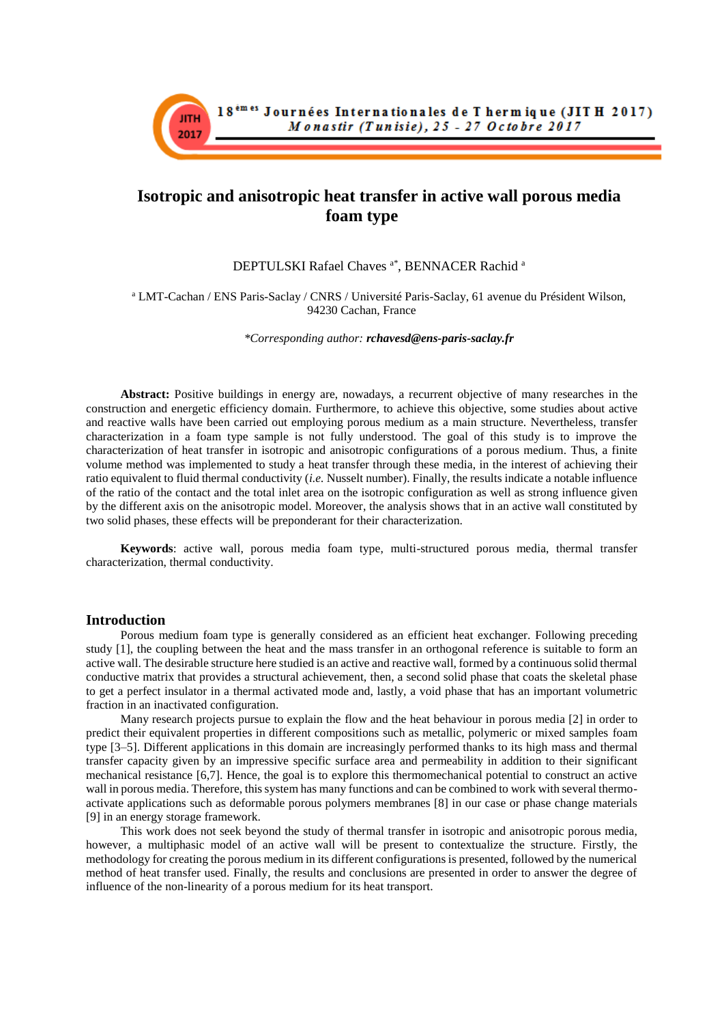

# **Isotropic and anisotropic heat transfer in active wall porous media foam type**

DEPTULSKI Rafael Chaves <sup>a\*</sup>, BENNACER Rachid <sup>a</sup>

<sup>a</sup> LMT-Cachan / ENS Paris-Saclay / CNRS / Université Paris-Saclay, 61 avenue du Président Wilson, 94230 Cachan, France

*\*Corresponding author: rchavesd@ens-paris-saclay.fr*

**Abstract:** Positive buildings in energy are, nowadays, a recurrent objective of many researches in the construction and energetic efficiency domain. Furthermore, to achieve this objective, some studies about active and reactive walls have been carried out employing porous medium as a main structure. Nevertheless, transfer characterization in a foam type sample is not fully understood. The goal of this study is to improve the characterization of heat transfer in isotropic and anisotropic configurations of a porous medium. Thus, a finite volume method was implemented to study a heat transfer through these media, in the interest of achieving their ratio equivalent to fluid thermal conductivity (*i.e.* Nusselt number). Finally, the results indicate a notable influence of the ratio of the contact and the total inlet area on the isotropic configuration as well as strong influence given by the different axis on the anisotropic model. Moreover, the analysis shows that in an active wall constituted by two solid phases, these effects will be preponderant for their characterization.

**Keywords**: active wall, porous media foam type, multi-structured porous media, thermal transfer characterization, thermal conductivity.

## **Introduction**

Porous medium foam type is generally considered as an efficient heat exchanger. Following preceding study [1], the coupling between the heat and the mass transfer in an orthogonal reference is suitable to form an active wall. The desirable structure here studied is an active and reactive wall, formed by a continuous solid thermal conductive matrix that provides a structural achievement, then, a second solid phase that coats the skeletal phase to get a perfect insulator in a thermal activated mode and, lastly, a void phase that has an important volumetric fraction in an inactivated configuration.

Many research projects pursue to explain the flow and the heat behaviour in porous media [2] in order to predict their equivalent properties in different compositions such as metallic, polymeric or mixed samples foam type [3–5]. Different applications in this domain are increasingly performed thanks to its high mass and thermal transfer capacity given by an impressive specific surface area and permeability in addition to their significant mechanical resistance [6,7]. Hence, the goal is to explore this thermomechanical potential to construct an active wall in porous media. Therefore, this system has many functions and can be combined to work with several thermoactivate applications such as deformable porous polymers membranes [8] in our case or phase change materials [9] in an energy storage framework.

This work does not seek beyond the study of thermal transfer in isotropic and anisotropic porous media, however, a multiphasic model of an active wall will be present to contextualize the structure. Firstly, the methodology for creating the porous medium in its different configurations is presented, followed by the numerical method of heat transfer used. Finally, the results and conclusions are presented in order to answer the degree of influence of the non-linearity of a porous medium for its heat transport.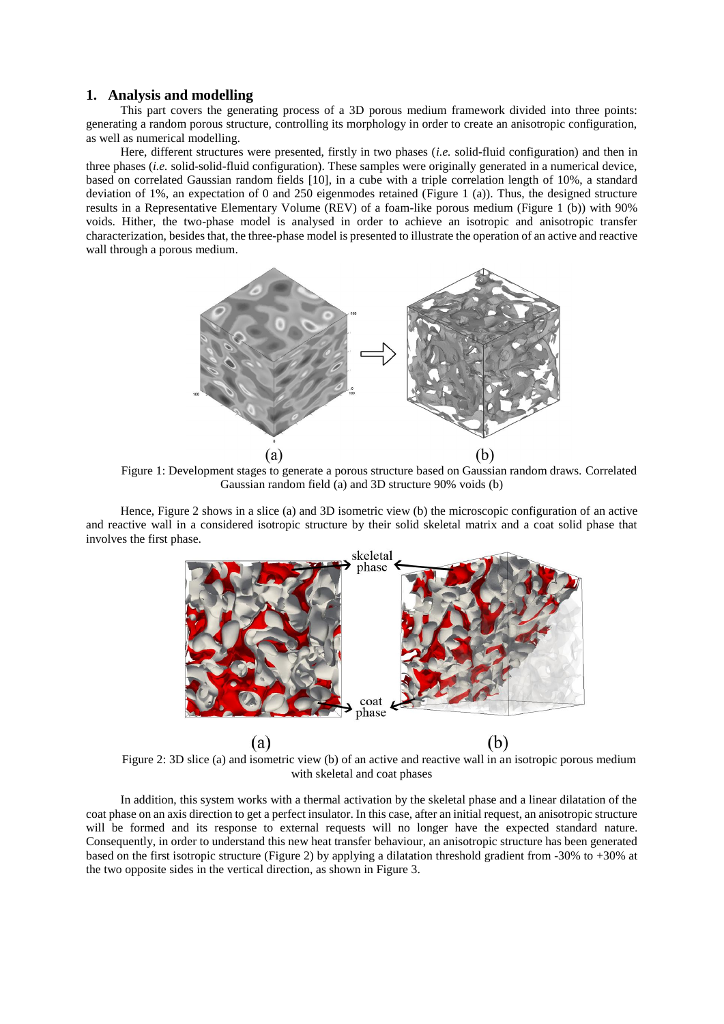## **1. Analysis and modelling**

This part covers the generating process of a 3D porous medium framework divided into three points: generating a random porous structure, controlling its morphology in order to create an anisotropic configuration, as well as numerical modelling.

Here, different structures were presented, firstly in two phases (*i.e.* solid-fluid configuration) and then in three phases (*i.e.* solid-solid-fluid configuration). These samples were originally generated in a numerical device, based on correlated Gaussian random fields [10], in a cube with a triple correlation length of 10%, a standard deviation of 1%, an expectation of 0 and 250 eigenmodes retained [\(Figure 1](#page-1-0) (a)). Thus, the designed structure results in a Representative Elementary Volume (REV) of a foam-like porous medium [\(Figure 1](#page-1-0) (b)) with 90% voids. Hither, the two-phase model is analysed in order to achieve an isotropic and anisotropic transfer characterization, besides that, the three-phase model is presented to illustrate the operation of an active and reactive wall through a porous medium.



<span id="page-1-0"></span>Figure 1: Development stages to generate a porous structure based on Gaussian random draws. Correlated Gaussian random field (a) and 3D structure 90% voids (b)

Hence, [Figure 2](#page-1-1) shows in a slice (a) and 3D isometric view (b) the microscopic configuration of an active and reactive wall in a considered isotropic structure by their solid skeletal matrix and a coat solid phase that involves the first phase.



<span id="page-1-1"></span>Figure 2: 3D slice (a) and isometric view (b) of an active and reactive wall in an isotropic porous medium with skeletal and coat phases

In addition, this system works with a thermal activation by the skeletal phase and a linear dilatation of the coat phase on an axis direction to get a perfect insulator. In this case, after an initial request, an anisotropic structure will be formed and its response to external requests will no longer have the expected standard nature. Consequently, in order to understand this new heat transfer behaviour, an anisotropic structure has been generated based on the first isotropic structure [\(Figure 2\)](#page-1-1) by applying a dilatation threshold gradient from -30% to +30% at the two opposite sides in the vertical direction, as shown in [Figure 3.](#page-2-0)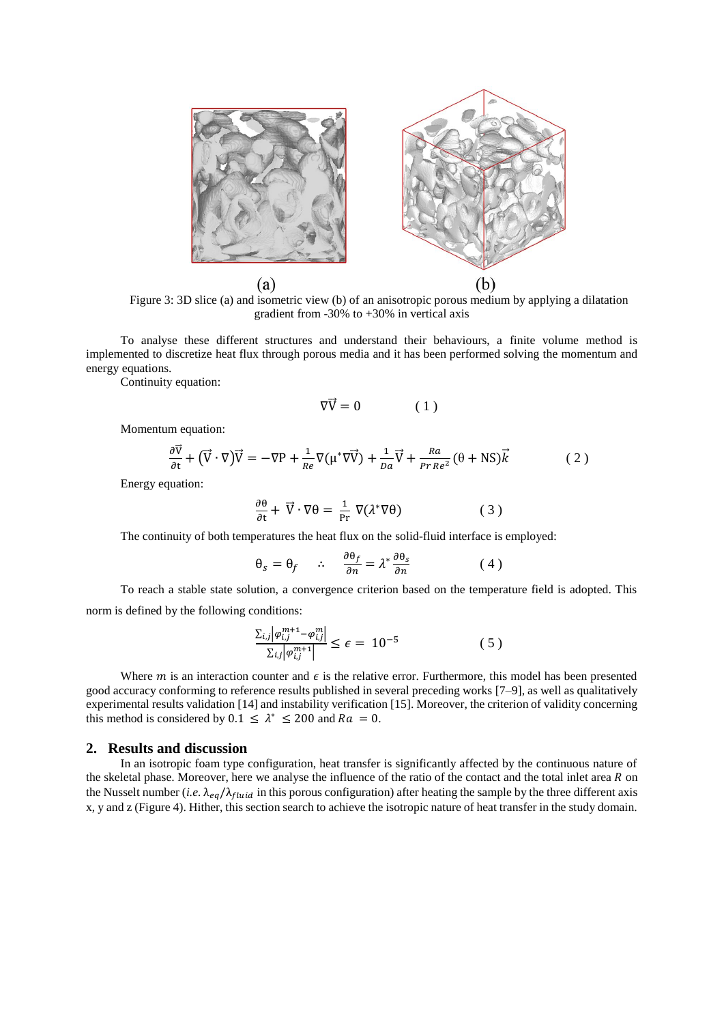

Figure 3: 3D slice (a) and isometric view (b) of an anisotropic porous medium by applying a dilatation gradient from -30% to +30% in vertical axis

<span id="page-2-0"></span>To analyse these different structures and understand their behaviours, a finite volume method is implemented to discretize heat flux through porous media and it has been performed solving the momentum and energy equations.

Continuity equation:

$$
\nabla \vec{V} = 0 \tag{1}
$$

Momentum equation:

$$
\frac{\partial \vec{v}}{\partial t} + (\vec{V} \cdot \nabla) \vec{V} = -\nabla P + \frac{1}{Re} \nabla (\mu^* \nabla \vec{V}) + \frac{1}{Da} \vec{V} + \frac{Ra}{Pr Re^2} (\theta + NS) \vec{k}
$$
(2)

Energy equation:

$$
\frac{\partial \theta}{\partial t} + \vec{V} \cdot \nabla \theta = \frac{1}{\text{Pr}} \nabla (\lambda^* \nabla \theta) \tag{3}
$$

The continuity of both temperatures the heat flux on the solid-fluid interface is employed:

$$
\theta_s = \theta_f \quad \therefore \quad \frac{\partial \theta_f}{\partial n} = \lambda^* \frac{\partial \theta_s}{\partial n} \tag{4}
$$

To reach a stable state solution, a convergence criterion based on the temperature field is adopted. This norm is defined by the following conditions:

$$
\frac{\sum_{i,j} |\varphi_{i,j}^{m+1} - \varphi_{i,j}^m|}{\sum_{i,j} |\varphi_{i,j}^{m+1}|} \le \epsilon = 10^{-5}
$$
\n(5)

Where *m* is an interaction counter and  $\epsilon$  is the relative error. Furthermore, this model has been presented good accuracy conforming to reference results published in several preceding works [7–9], as well as qualitatively experimental results validation [14] and instability verification [15]. Moreover, the criterion of validity concerning this method is considered by  $0.1 \le \lambda^* \le 200$  and  $Ra = 0$ .

## **2. Results and discussion**

In an isotropic foam type configuration, heat transfer is significantly affected by the continuous nature of the skeletal phase. Moreover, here we analyse the influence of the ratio of the contact and the total inlet area  $R$  on the Nusselt number (*i.e.*  $\lambda_{eq}/\lambda_{fluid}$  in this porous configuration) after heating the sample by the three different axis x, y and z [\(Figure 4\)](#page-3-0). Hither, this section search to achieve the isotropic nature of heat transfer in the study domain.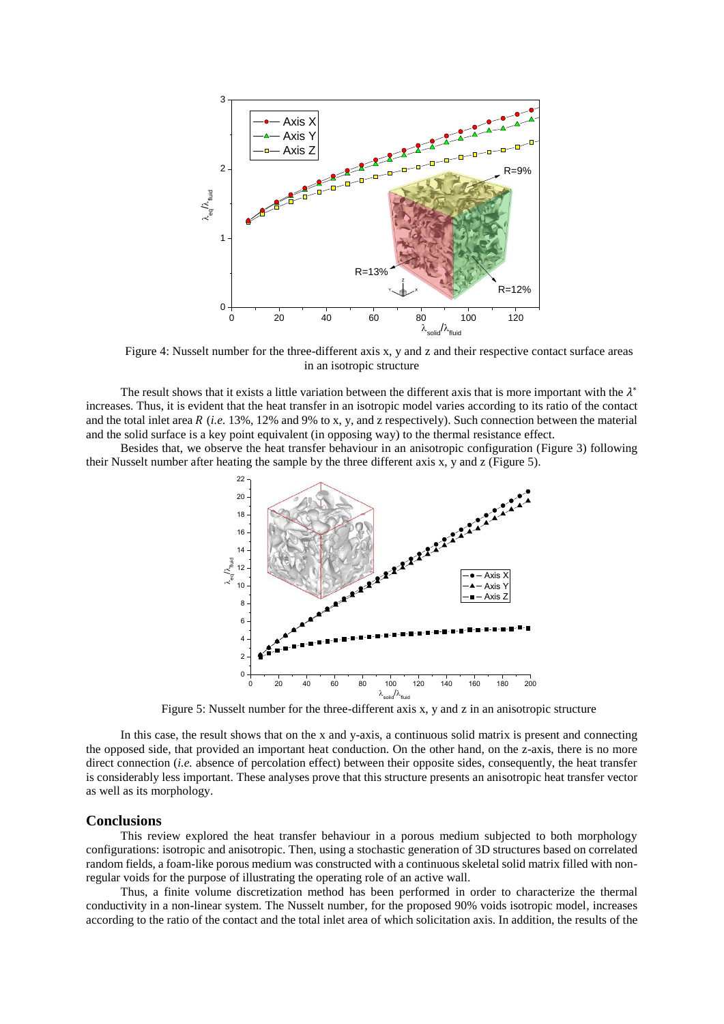

Figure 4: Nusselt number for the three-different axis x, y and z and their respective contact surface areas in an isotropic structure

<span id="page-3-0"></span>The result shows that it exists a little variation between the different axis that is more important with the  $\lambda^*$ increases. Thus, it is evident that the heat transfer in an isotropic model varies according to its ratio of the contact and the total inlet area  $R$  (*i.e.* 13%, 12% and 9% to x, y, and z respectively). Such connection between the material and the solid surface is a key point equivalent (in opposing way) to the thermal resistance effect.

Besides that, we observe the heat transfer behaviour in an anisotropic configuration [\(Figure 3\)](#page-2-0) following their Nusselt number after heating the sample by the three different axis x, y and z [\(Figure 5\)](#page-3-1).



Figure 5: Nusselt number for the three-different axis x, y and z in an anisotropic structure

<span id="page-3-1"></span>In this case, the result shows that on the x and y-axis, a continuous solid matrix is present and connecting the opposed side, that provided an important heat conduction. On the other hand, on the z-axis, there is no more direct connection *(i.e.* absence of percolation effect) between their opposite sides, consequently, the heat transfer is considerably less important. These analyses prove that this structure presents an anisotropic heat transfer vector as well as its morphology.

## **Conclusions**

This review explored the heat transfer behaviour in a porous medium subjected to both morphology configurations: isotropic and anisotropic. Then, using a stochastic generation of 3D structures based on correlated random fields, a foam-like porous medium was constructed with a continuous skeletal solid matrix filled with nonregular voids for the purpose of illustrating the operating role of an active wall.

Thus, a finite volume discretization method has been performed in order to characterize the thermal conductivity in a non-linear system. The Nusselt number, for the proposed 90% voids isotropic model, increases according to the ratio of the contact and the total inlet area of which solicitation axis. In addition, the results of the